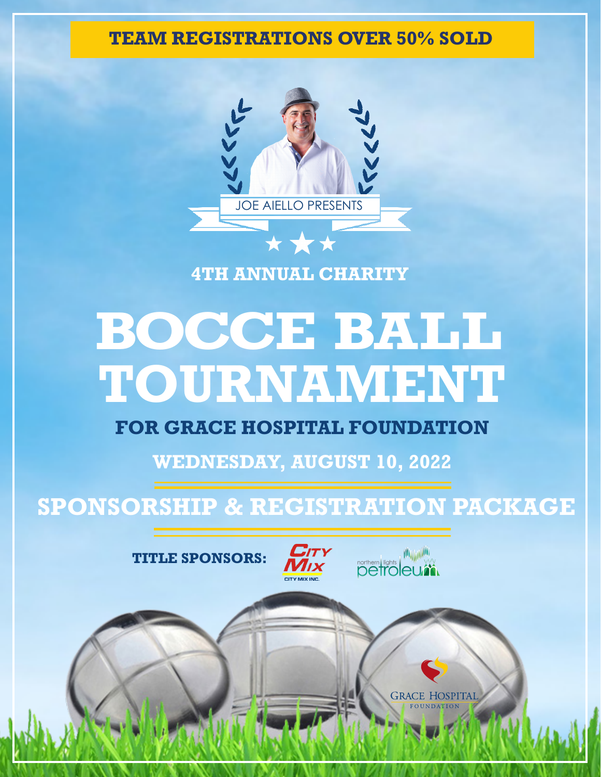**TEAM REGISTRATIONS OVER 50% SOLD**



## **4TH ANNUAL CHARITY**

# **TOURNAMENT BOCCE BALL**

## **FOR GRACE HOSPITAL FOUNDATION**

**WEDNESDAY, AUGUST 10, 2022**

## **SPONSORSHIP & REGISTRATION PACKAGE**